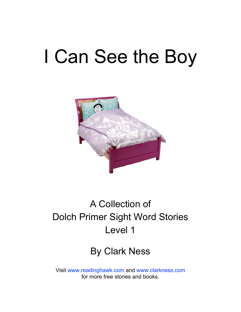# I Can See the Boy



### A Collection of Dolch Primer Sight Word Stories Level 1

#### By Clark Ness

Visit [www.readinghawk.com](http://www.readinghawk.com) and [www.clarkness.com](http://www.clarkness.com) for more free stories and books.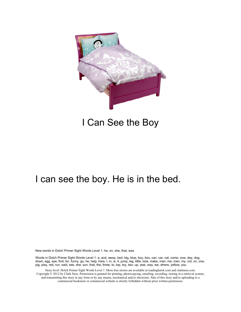

#### I Can See the Boy

#### I can see the boy. He is in the bed.

New words in Dolch Primer Sight Words Level 1: he, on, she, that, was

Words in Dolch Primer Sight Words Level 1: a, and, away, bed, big, blue, boy, box, can, car, cat, come, cow, day, dog, down, egg, eye, find, for, funny, go, he, help, here, I, in, is, it, jump, leg, little, look, make, man, me, men, my, not, on, one, pig, play, red, run, said, see, she, sun, that, the, three, to, top, toy, two, up, was, way, we, where, yellow, you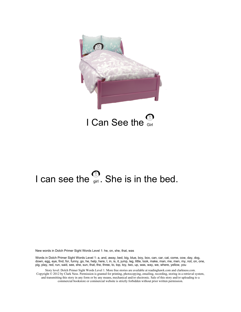

# I can see the  $\frac{1}{9}$ . She is in the bed.

New words in Dolch Primer Sight Words Level 1: he, on, she, that, was

Words in Dolch Primer Sight Words Level 1: a, and, away, bed, big, blue, boy, box, can, car, cat, come, cow, day, dog, down, egg, eye, find, for, funny, go, he, help, here, I, in, is, it, jump, leg, little, look, make, man, me, men, my, not, on, one, pig, play, red, run, said, see, she, sun, that, the, three, to, top, toy, two, up, was, way, we, where, yellow, you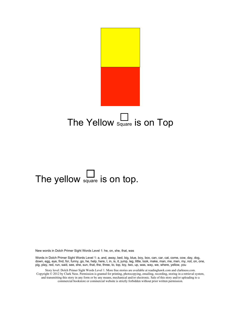

# The yellow square is on top.

New words in Dolch Primer Sight Words Level 1: he, on, she, that, was

Words in Dolch Primer Sight Words Level 1: a, and, away, bed, big, blue, boy, box, can, car, cat, come, cow, day, dog, down, egg, eye, find, for, funny, go, he, help, here, I, in, is, it, jump, leg, little, look, make, man, me, men, my, not, on, one, pig, play, red, run, said, see, she, sun, that, the, three, to, top, toy, two, up, was, way, we, where, yellow, you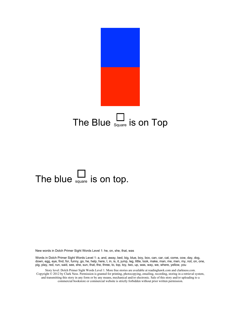

# The blue  $\frac{1}{\text{square}}$  is on top.

New words in Dolch Primer Sight Words Level 1: he, on, she, that, was

Words in Dolch Primer Sight Words Level 1: a, and, away, bed, big, blue, boy, box, can, car, cat, come, cow, day, dog, down, egg, eye, find, for, funny, go, he, help, here, I, in, is, it, jump, leg, little, look, make, man, me, men, my, not, on, one, pig, play, red, run, said, see, she, sun, that, the, three, to, top, toy, two, up, was, way, we, where, yellow, you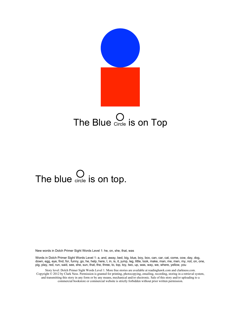

# The blue  $\bigcirc$  is on top.

New words in Dolch Primer Sight Words Level 1: he, on, she, that, was

Words in Dolch Primer Sight Words Level 1: a, and, away, bed, big, blue, boy, box, can, car, cat, come, cow, day, dog, down, egg, eye, find, for, funny, go, he, help, here, I, in, is, it, jump, leg, little, look, make, man, me, men, my, not, on, one, pig, play, red, run, said, see, she, sun, that, the, three, to, top, toy, two, up, was, way, we, where, yellow, you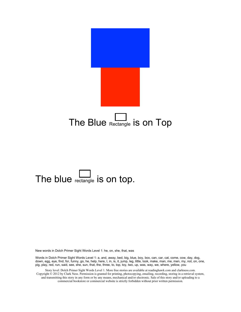

### The blue rectangle is on top.

New words in Dolch Primer Sight Words Level 1: he, on, she, that, was

Words in Dolch Primer Sight Words Level 1: a, and, away, bed, big, blue, boy, box, can, car, cat, come, cow, day, dog, down, egg, eye, find, for, funny, go, he, help, here, I, in, is, it, jump, leg, little, look, make, man, me, men, my, not, on, one, pig, play, red, run, said, see, she, sun, that, the, three, to, top, toy, two, up, was, way, we, where, yellow, you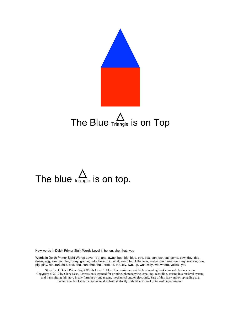

# The blue  $\triangle$  is on top.

New words in Dolch Primer Sight Words Level 1: he, on, she, that, was

Words in Dolch Primer Sight Words Level 1: a, and, away, bed, big, blue, boy, box, can, car, cat, come, cow, day, dog, down, egg, eye, find, for, funny, go, he, help, here, I, in, is, it, jump, leg, little, look, make, man, me, men, my, not, on, one, pig, play, red, run, said, see, she, sun, that, the, three, to, top, toy, two, up, was, way, we, where, yellow, you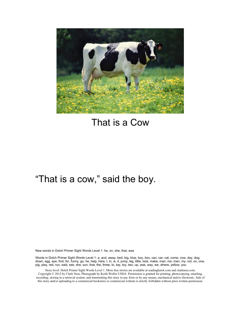

#### That is a Cow

#### "That is a cow," said the boy.

New words in Dolch Primer Sight Words Level 1: he, on, she, that, was

Words in Dolch Primer Sight Words Level 1: a, and, away, bed, big, blue, boy, box, can, car, cat, come, cow, day, dog, down, egg, eye, find, for, funny, go, he, help, here, I, in, is, it, jump, leg, little, look, make, man, me, men, my, not, on, one, pig, play, red, run, said, see, she, sun, that, the, three, to, top, toy, two, up, was, way, we, where, yellow, you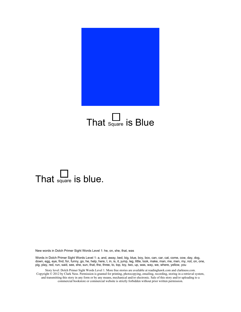

# That  $\Box$  is Blue

### That  $\Box$  is blue.

New words in Dolch Primer Sight Words Level 1: he, on, she, that, was

Words in Dolch Primer Sight Words Level 1: a, and, away, bed, big, blue, boy, box, can, car, cat, come, cow, day, dog, down, egg, eye, find, for, funny, go, he, help, here, I, in, is, it, jump, leg, little, look, make, man, me, men, my, not, on, one, pig, play, red, run, said, see, she, sun, that, the, three, to, top, toy, two, up, was, way, we, where, yellow, you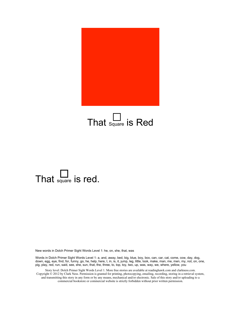

# That  $\sum_{\text{square}}$  is Red

### That  $\Box$  is red.

New words in Dolch Primer Sight Words Level 1: he, on, she, that, was

Words in Dolch Primer Sight Words Level 1: a, and, away, bed, big, blue, boy, box, can, car, cat, come, cow, day, dog, down, egg, eye, find, for, funny, go, he, help, here, I, in, is, it, jump, leg, little, look, make, man, me, men, my, not, on, one, pig, play, red, run, said, see, she, sun, that, the, three, to, top, toy, two, up, was, way, we, where, yellow, you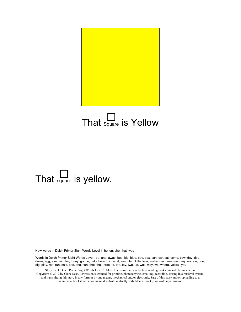

### That  $\Box$  is Yellow

# That  $\frac{L}{\text{square}}$  is yellow.

New words in Dolch Primer Sight Words Level 1: he, on, she, that, was

Words in Dolch Primer Sight Words Level 1: a, and, away, bed, big, blue, boy, box, can, car, cat, come, cow, day, dog, down, egg, eye, find, for, funny, go, he, help, here, I, in, is, it, jump, leg, little, look, make, man, me, men, my, not, on, one, pig, play, red, run, said, see, she, sun, that, the, three, to, top, toy, two, up, was, way, we, where, yellow, you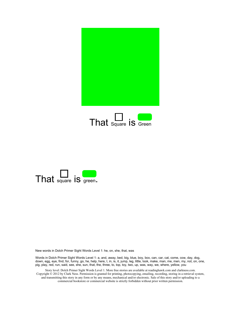





Words in Dolch Primer Sight Words Level 1: a, and, away, bed, big, blue, boy, box, can, car, cat, come, cow, day, dog, down, egg, eye, find, for, funny, go, he, help, here, I, in, is, it, jump, leg, little, look, make, man, me, men, my, not, on, one, pig, play, red, run, said, see, she, sun, that, the, three, to, top, toy, two, up, was, way, we, where, yellow, you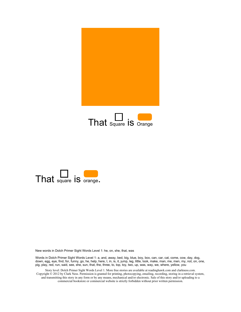





Words in Dolch Primer Sight Words Level 1: a, and, away, bed, big, blue, boy, box, can, car, cat, come, cow, day, dog, down, egg, eye, find, for, funny, go, he, help, here, I, in, is, it, jump, leg, little, look, make, man, me, men, my, not, on, one, pig, play, red, run, said, see, she, sun, that, the, three, to, top, toy, two, up, was, way, we, where, yellow, you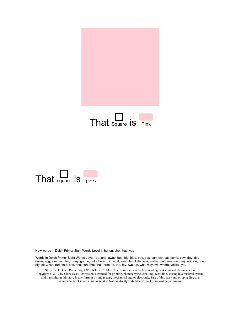



Words in Dolch Primer Sight Words Level 1: a, and, away, bed, big, blue, boy, box, can, car, cat, come, cow, day, dog, down, egg, eye, find, for, funny, go, he, help, here, I, in, is, it, jump, leg, little, look, make, man, me, men, my, not, on, one, pig, play, red, run, said, see, she, sun, that, the, three, to, top, toy, two, up, was, way, we, where, yellow, you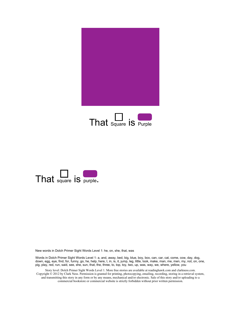





Words in Dolch Primer Sight Words Level 1: a, and, away, bed, big, blue, boy, box, can, car, cat, come, cow, day, dog, down, egg, eye, find, for, funny, go, he, help, here, I, in, is, it, jump, leg, little, look, make, man, me, men, my, not, on, one, pig, play, red, run, said, see, she, sun, that, the, three, to, top, toy, two, up, was, way, we, where, yellow, you